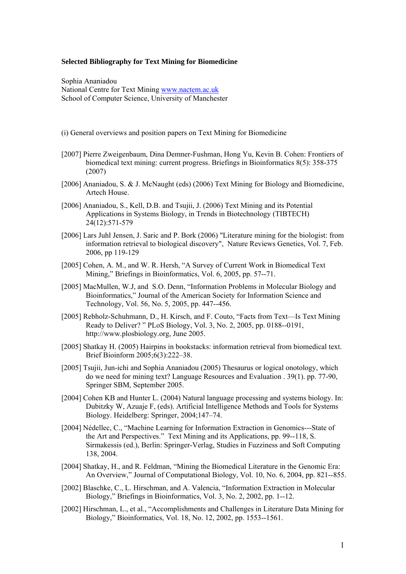#### **Selected Bibliography for Text Mining for Biomedicine**

Sophia Ananiadou National Centre for Text Mining [www.nactem.ac.uk](http://www.nactem.ac.uk/)  School of Computer Science, University of Manchester

- (i) General overviews and position papers on Text Mining for Biomedicine
- [2007] Pierre Zweigenbaum, Dina Demner-Fushman, Hong Yu, Kevin B. Cohen: Frontiers of biomedical text mining: current progress. Briefings in Bioinformatics 8(5): 358-375 (2007)
- [2006] Ananiadou, S. & J. McNaught (eds) (2006) Text Mining for Biology and Biomedicine, Artech House.
- [2006] Ananiadou, S., Kell, D.B. and Tsujii, J. (2006) Text Mining and its Potential Applications in Systems Biology, in Trends in Biotechnology (TIBTECH) 24(12):571-579
- [2006] Lars Juhl Jensen, J. Saric and P. Bork (2006) "Literature mining for the biologist: from information retrieval to biological discovery", Nature Reviews Genetics, Vol. 7, Feb. 2006, pp 119-129
- [2005] Cohen, A. M., and W. R. Hersh, "A Survey of Current Work in Biomedical Text Mining," Briefings in Bioinformatics, Vol. 6, 2005, pp. 57--71.
- [2005] MacMullen, W.J, and S.O. Denn, "Information Problems in Molecular Biology and Bioinformatics," Journal of the American Society for Information Science and Technology, Vol. 56, No. 5, 2005, pp. 447--456.
- [2005] Rebholz-Schuhmann, D., H. Kirsch, and F. Couto, "Facts from Text—Is Text Mining Ready to Deliver? " PLoS Biology, Vol. 3, No. 2, 2005, pp. 0188--0191, http://www.plosbiology.org, June 2005.
- [2005] Shatkay H. (2005) Hairpins in bookstacks: information retrieval from biomedical text. Brief Bioinform 2005;6(3):222–38.
- [2005] Tsujii, Jun-ichi and Sophia Ananiadou (2005) Thesaurus or logical onotology, which do we need for mining text? Language Resources and Evaluation . 39(1). pp. 77-90, Springer SBM, September 2005.
- [2004] Cohen KB and Hunter L. (2004) Natural language processing and systems biology. In: Dubitzky W, Azuaje F, (eds). Artificial Intelligence Methods and Tools for Systems Biology. Heidelberg: Springer, 2004;147–74.
- [2004] Nédellec, C., "Machine Learning for Information Extraction in Genomics---State of the Art and Perspectives." Text Mining and its Applications, pp. 99--118, S. Sirmakessis (ed.), Berlin: Springer-Verlag, Studies in Fuzziness and Soft Computing 138, 2004.
- [2004] Shatkay, H., and R. Feldman, "Mining the Biomedical Literature in the Genomic Era: An Overview," Journal of Computational Biology, Vol. 10, No. 6, 2004, pp. 821--855.
- [2002] Blaschke, C., L. Hirschman, and A. Valencia, "Information Extraction in Molecular Biology," Briefings in Bioinformatics, Vol. 3, No. 2, 2002, pp. 1--12.
- [2002] Hirschman, L., et al., "Accomplishments and Challenges in Literature Data Mining for Biology," Bioinformatics, Vol. 18, No. 12, 2002, pp. 1553--1561.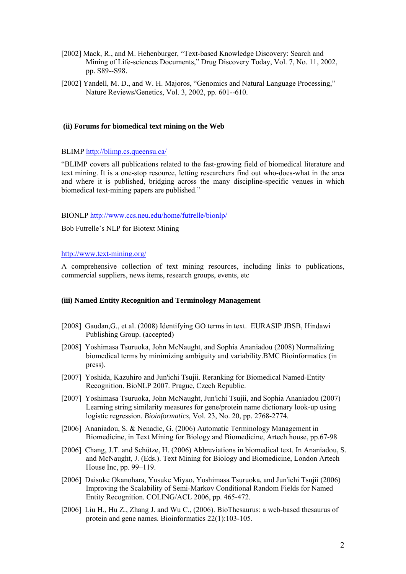- [2002] Mack, R., and M. Hehenburger, "Text-based Knowledge Discovery: Search and Mining of Life-sciences Documents," Drug Discovery Today, Vol. 7, No. 11, 2002, pp. S89--S98.
- [2002] Yandell, M. D., and W. H. Majoros, "Genomics and Natural Language Processing," Nature Reviews/Genetics, Vol. 3, 2002, pp. 601--610.

# **(ii) Forums for biomedical text mining on the Web**

### BLIMP<http://blimp.cs.queensu.ca/>

"BLIMP covers all publications related to the fast-growing field of biomedical literature and text mining. It is a one-stop resource, letting researchers find out who-does-what in the area and where it is published, bridging across the many discipline-specific venues in which biomedical text-mining papers are published."

### BIONLP<http://www.ccs.neu.edu/home/futrelle/bionlp/>

Bob Futrelle's NLP for Biotext Mining

## <http://www.text-mining.org/>

A comprehensive collection of text mining resources, including links to publications, commercial suppliers, news items, research groups, events, etc

### **(iii) Named Entity Recognition and Terminology Management**

- [2008] Gaudan,G., et al. (2008) Identifying GO terms in text. EURASIP JBSB, Hindawi Publishing Group. (accepted)
- [2008] Yoshimasa Tsuruoka, John McNaught, and Sophia Ananiadou (2008) Normalizing biomedical terms by minimizing ambiguity and variability.BMC Bioinformatics (in press).
- [2007] Yoshida, Kazuhiro and Jun'ichi Tsujii. Reranking for Biomedical Named-Entity Recognition. BioNLP 2007. Prague, Czech Republic.
- [2007] Yoshimasa Tsuruoka, John McNaught, Jun'ichi Tsujii, and Sophia Ananiadou (2007) Learning string similarity measures for gene/protein name dictionary look-up using logistic regression. *Bioinformatics,* Vol. 23, No. 20, pp. 2768-2774.
- [2006] Ananiadou, S. & Nenadic, G. (2006) Automatic Terminology Management in Biomedicine, in Text Mining for Biology and Biomedicine, Artech house, pp.67-98
- [2006] Chang, J.T. and Schütze, H. (2006) Abbreviations in biomedical text. In Ananiadou, S. and McNaught, J. (Eds.). Text Mining for Biology and Biomedicine, London Artech House Inc, pp. 99–119.
- [2006] Daisuke Okanohara, Yusuke Miyao, Yoshimasa Tsuruoka, and Jun'ichi Tsujii (2006) Improving the Scalability of Semi-Markov Conditional Random Fields for Named Entity Recognition. COLING/ACL 2006, pp. 465-472.
- [2006] Liu H., Hu Z., Zhang J. and Wu C., (2006). BioThesaurus: a web-based thesaurus of protein and gene names. Bioinformatics 22(1):103-105.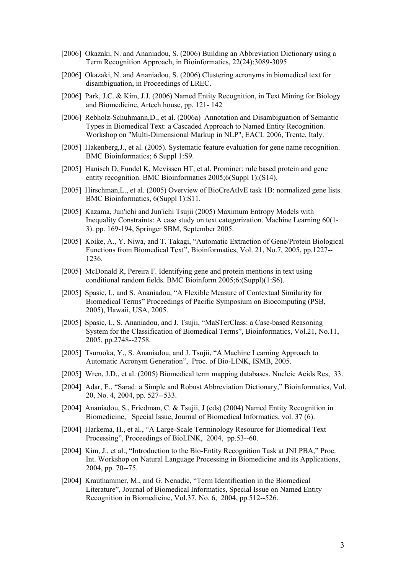- [2006] Okazaki, N. and Ananiadou, S. (2006) Building an Abbreviation Dictionary using a Term Recognition Approach, in Bioinformatics, 22(24):3089-3095
- [2006] Okazaki, N. and Ananiadou, S. (2006) Clustering acronyms in biomedical text for disambiguation, in Proceedings of LREC.
- [2006] Park, J.C. & Kim, J.J. (2006) Named Entity Recognition, in Text Mining for Biology and Biomedicine, Artech house, pp. 121- 142
- [2006] Rebholz-Schuhmann, D., et al. (2006a) Annotation and Disambiguation of Semantic Types in Biomedical Text: a Cascaded Approach to Named Entity Recognition. Workshop on "Multi-Dimensional Markup in NLP", EACL 2006, Trente, Italy.
- [2005] Hakenberg,J., et al. (2005). Systematic feature evaluation for gene name recognition. BMC Bioinformatics; 6 Suppl 1:S9.
- [2005] Hanisch D, Fundel K, Mevissen HT, et al. Prominer: rule based protein and gene entity recognition. BMC Bioinformatics 2005;6(Suppl 1):(S14).
- [2005] Hirschman, L., et al. (2005) Overview of BioCreAtIvE task 1B: normalized gene lists. BMC Bioinformatics, 6(Suppl 1):S11.
- [2005] Kazama, Jun'ichi and Jun'ichi Tsujii (2005) Maximum Entropy Models with Inequality Constraints: A case study on text categorization. Machine Learning 60(1- 3). pp. 169-194, Springer SBM, September 2005.
- [2005] Koike, A., Y. Niwa, and T. Takagi, "Automatic Extraction of Gene/Protein Biological Functions from Biomedical Text", Bioinformatics, Vol. 21, No.7, 2005, pp.1227-- 1236.
- [2005] McDonald R, Pereira F. Identifying gene and protein mentions in text using conditional random fields. BMC Bioinform 2005;6:(Suppl)(1:S6).
- [2005] Spasic, I., and S. Ananiadou, "A Flexible Measure of Contextual Similarity for Biomedical Terms" Proceedings of Pacific Symposium on Biocomputing (PSB, 2005), Hawaii, USA, 2005.
- [2005] Spasic, I., S. Ananiadou, and J. Tsujii, "MaSTerClass: a Case-based Reasoning System for the Classification of Biomedical Terms", Bioinformatics, Vol.21, No.11, 2005, pp.2748--2758.
- [2005] Tsuruoka, Y., S. Ananiadou, and J. Tsujii, "A Machine Learning Approach to Automatic Acronym Generation", Proc. of Bio-LINK, ISMB, 2005.
- [2005] Wren, J.D., et al. (2005) Biomedical term mapping databases. Nucleic Acids Res, 33.
- [2004] Adar, E., "Sarad: a Simple and Robust Abbreviation Dictionary," Bioinformatics, Vol. 20, No. 4, 2004, pp. 527--533.
- [2004] Ananiadou, S., Friedman, C. & Tsujii, J (eds) (2004) Named Entity Recognition in Biomedicine, Special Issue, Journal of Biomedical Informatics, vol. 37 (6).
- [2004] Harkema, H., et al., "A Large-Scale Terminology Resource for Biomedical Text Processing", Proceedings of BioLINK, 2004, pp.53--60.
- [2004] Kim, J., et al., "Introduction to the Bio-Entity Recognition Task at JNLPBA," Proc. Int. Workshop on Natural Language Processing in Biomedicine and its Applications, 2004, pp. 70--75.
- [2004] Krauthammer, M., and G. Nenadic, "Term Identification in the Biomedical Literature", Journal of Biomedical Informatics, Special Issue on Named Entity Recognition in Biomedicine, Vol.37, No. 6, 2004, pp.512--526.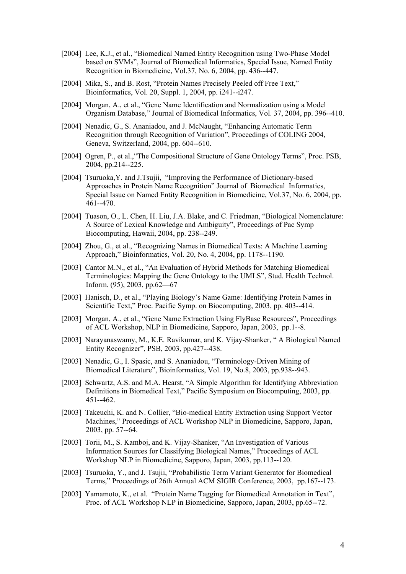- [2004] Lee, K.J., et al., "Biomedical Named Entity Recognition using Two-Phase Model based on SVMs", Journal of Biomedical Informatics, Special Issue, Named Entity Recognition in Biomedicine, Vol.37, No. 6, 2004, pp. 436--447.
- [2004] Mika, S., and B. Rost, "Protein Names Precisely Peeled off Free Text," Bioinformatics, Vol. 20, Suppl. 1, 2004, pp. i241--i247.
- [2004] Morgan, A., et al., "Gene Name Identification and Normalization using a Model Organism Database," Journal of Biomedical Informatics, Vol. 37, 2004, pp. 396--410.
- [2004] Nenadic, G., S. Ananiadou, and J. McNaught, "Enhancing Automatic Term Recognition through Recognition of Variation", Proceedings of COLING 2004, Geneva, Switzerland, 2004, pp. 604--610.
- [2004] Ogren, P., et al., "The Compositional Structure of Gene Ontology Terms", Proc. PSB, 2004, pp.214--225.
- [2004] Tsuruoka, Y. and J.Tsujii, "Improving the Performance of Dictionary-based Approaches in Protein Name Recognition" Journal of Biomedical Informatics, Special Issue on Named Entity Recognition in Biomedicine, Vol.37, No. 6, 2004, pp. 461--470.
- [2004] Tuason, O., L. Chen, H. Liu, J.A. Blake, and C. Friedman, "Biological Nomenclature: A Source of Lexical Knowledge and Ambiguity", Proceedings of Pac Symp Biocomputing, Hawaii, 2004, pp. 238--249.
- [2004] Zhou, G., et al., "Recognizing Names in Biomedical Texts: A Machine Learning Approach," Bioinformatics, Vol. 20, No. 4, 2004, pp. 1178--1190.
- [2003] Cantor M.N., et al., "An Evaluation of Hybrid Methods for Matching Biomedical Terminologies: Mapping the Gene Ontology to the UMLS", Stud. Health Technol. Inform. (95), 2003, pp.62—67
- [2003] Hanisch, D., et al., "Playing Biology's Name Game: Identifying Protein Names in Scientific Text," Proc. Pacific Symp. on Biocomputing, 2003, pp. 403--414.
- [2003] Morgan, A., et al., "Gene Name Extraction Using FlyBase Resources", Proceedings of ACL Workshop, NLP in Biomedicine, Sapporo, Japan, 2003, pp.1--8.
- [2003] Narayanaswamy, M., K.E. Ravikumar, and K. Vijay-Shanker, " A Biological Named Entity Recognizer", PSB, 2003, pp.427--438.
- [2003] Nenadic, G., I. Spasic, and S. Ananiadou, "Terminology-Driven Mining of Biomedical Literature", Bioinformatics, Vol. 19, No.8, 2003, pp.938--943.
- [2003] Schwartz, A.S. and M.A. Hearst, "A Simple Algorithm for Identifying Abbreviation Definitions in Biomedical Text," Pacific Symposium on Biocomputing, 2003, pp. 451--462.
- [2003] Takeuchi, K. and N. Collier, "Bio-medical Entity Extraction using Support Vector Machines," Proceedings of ACL Workshop NLP in Biomedicine, Sapporo, Japan, 2003, pp. 57--64.
- [2003] Torii, M., S. Kamboj, and K. Vijay-Shanker, "An Investigation of Various Information Sources for Classifying Biological Names," Proceedings of ACL Workshop NLP in Biomedicine, Sapporo, Japan, 2003, pp.113--120.
- [2003] Tsuruoka, Y., and J. Tsujii, "Probabilistic Term Variant Generator for Biomedical Terms," Proceedings of 26th Annual ACM SIGIR Conference, 2003, pp.167--173.
- [2003] Yamamoto, K., et al. "Protein Name Tagging for Biomedical Annotation in Text", Proc. of ACL Workshop NLP in Biomedicine, Sapporo, Japan, 2003, pp.65--72.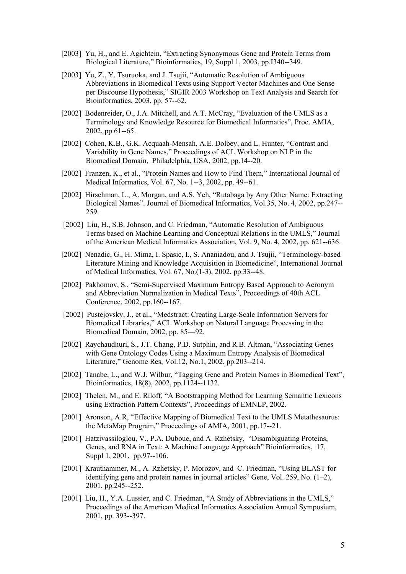- [2003] Yu, H., and E. Agichtein, "Extracting Synonymous Gene and Protein Terms from Biological Literature," Bioinformatics, 19, Suppl 1, 2003, pp.I340--349.
- [2003] Yu, Z., Y. Tsuruoka, and J. Tsujii, "Automatic Resolution of Ambiguous Abbreviations in Biomedical Texts using Support Vector Machines and One Sense per Discourse Hypothesis," SIGIR 2003 Workshop on Text Analysis and Search for Bioinformatics, 2003, pp. 57--62.
- [2002] Bodenreider, O., J.A. Mitchell, and A.T. McCray, "Evaluation of the UMLS as a Terminology and Knowledge Resource for Biomedical Informatics", Proc. AMIA, 2002, pp.61--65.
- [2002] Cohen, K.B., G.K. Acquaah-Mensah, A.E. Dolbey, and L. Hunter, "Contrast and Variability in Gene Names," Proceedings of ACL Workshop on NLP in the Biomedical Domain, Philadelphia, USA, 2002, pp.14--20.
- [2002] Franzen, K., et al., "Protein Names and How to Find Them," International Journal of Medical Informatics, Vol. 67, No. 1--3, 2002, pp. 49--61.
- [2002] Hirschman, L., A. Morgan, and A.S. Yeh, "Rutabaga by Any Other Name: Extracting Biological Names". Journal of Biomedical Informatics, Vol.35, No. 4, 2002, pp.247-- 259.
- [2002] Liu, H., S.B. Johnson, and C. Friedman, "Automatic Resolution of Ambiguous Terms based on Machine Learning and Conceptual Relations in the UMLS," Journal of the American Medical Informatics Association, Vol. 9, No. 4, 2002, pp. 621--636.
- [2002] Nenadic, G., H. Mima, I. Spasic, I., S. Ananiadou, and J. Tsujii, "Terminology-based Literature Mining and Knowledge Acquisition in Biomedicine", International Journal of Medical Informatics, Vol. 67, No.(1-3), 2002, pp.33--48.
- [2002] Pakhomov, S., "Semi-Supervised Maximum Entropy Based Approach to Acronym and Abbreviation Normalization in Medical Texts", Proceedings of 40th ACL Conference, 2002, pp.160--167.
- [2002] Pustejovsky, J., et al., "Medstract: Creating Large-Scale Information Servers for Biomedical Libraries," ACL Workshop on Natural Language Processing in the Biomedical Domain, 2002, pp. 85—92.
- [2002] Raychaudhuri, S., J.T. Chang, P.D. Sutphin, and R.B. Altman, "Associating Genes with Gene Ontology Codes Using a Maximum Entropy Analysis of Biomedical Literature," Genome Res, Vol.12, No.1, 2002, pp.203--214.
- [2002] Tanabe, L., and W.J. Wilbur, "Tagging Gene and Protein Names in Biomedical Text", Bioinformatics, 18(8), 2002, pp.1124--1132.
- [2002] Thelen, M., and E. Riloff, "A Bootstrapping Method for Learning Semantic Lexicons using Extraction Pattern Contexts", Proceedings of EMNLP, 2002.
- [2001] Aronson, A.R, "Effective Mapping of Biomedical Text to the UMLS Metathesaurus: the MetaMap Program," Proceedings of AMIA, 2001, pp.17--21.
- [2001] Hatzivassiloglou, V., P.A. Duboue, and A. Rzhetsky, "Disambiguating Proteins, Genes, and RNA in Text: A Machine Language Approach" Bioinformatics, 17, Suppl 1, 2001, pp.97--106.
- [2001] Krauthammer, M., A. Rzhetsky, P. Morozov, and C. Friedman, "Using BLAST for identifying gene and protein names in journal articles" Gene, Vol. 259, No. (1–2), 2001, pp.245--252.
- [2001] Liu, H., Y.A. Lussier, and C. Friedman, "A Study of Abbreviations in the UMLS," Proceedings of the American Medical Informatics Association Annual Symposium, 2001, pp. 393--397.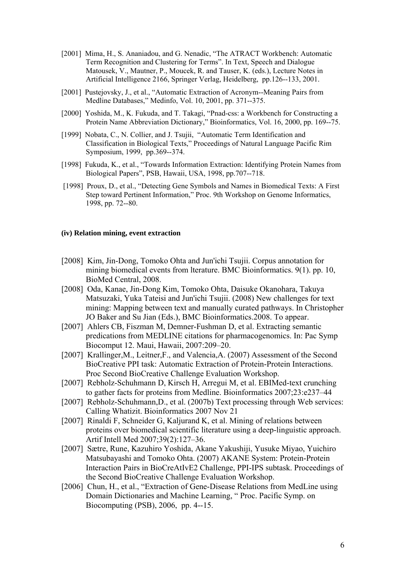- [2001] Mima, H., S. Ananiadou, and G. Nenadic, "The ATRACT Workbench: Automatic Term Recognition and Clustering for Terms". In Text, Speech and Dialogue Matousek, V., Mautner, P., Moucek, R. and Tauser, K. (eds.), Lecture Notes in Artificial Intelligence 2166, Springer Verlag, Heidelberg, pp.126--133, 2001.
- [2001] Pustejovsky, J., et al., "Automatic Extraction of Acronym--Meaning Pairs from Medline Databases," Medinfo, Vol. 10, 2001, pp. 371--375.
- [2000] Yoshida, M., K. Fukuda, and T. Takagi, "Pnad-css: a Workbench for Constructing a Protein Name Abbreviation Dictionary," Bioinformatics, Vol. 16, 2000, pp. 169--75.
- [1999] Nobata, C., N. Collier, and J. Tsujii, "Automatic Term Identification and Classification in Biological Texts," Proceedings of Natural Language Pacific Rim Symposium, 1999, pp.369--374.
- [1998] Fukuda, K., et al., "Towards Information Extraction: Identifying Protein Names from Biological Papers", PSB, Hawaii, USA, 1998, pp.707--718.
- [1998] Proux, D., et al., "Detecting Gene Symbols and Names in Biomedical Texts: A First Step toward Pertinent Information," Proc. 9th Workshop on Genome Informatics, 1998, pp. 72--80.

# **(iv) Relation mining, event extraction**

- [2008] Kim, Jin-Dong, Tomoko Ohta and Jun'ichi Tsujii. Corpus annotation for mining biomedical events from lterature. BMC Bioinformatics. 9(1). pp. 10, BioMed Central, 2008.
- [2008] Oda, Kanae, Jin-Dong Kim, Tomoko Ohta, Daisuke Okanohara, Takuya Matsuzaki, Yuka Tateisi and Jun'ichi Tsujii. (2008) New challenges for text mining: Mapping between text and manually curated pathways. In Christopher JO Baker and Su Jian (Eds.), BMC Bioinformatics.2008. To appear.
- [2007] Ahlers CB, Fiszman M, Demner-Fushman D, et al. Extracting semantic predications from MEDLINE citations for pharmacogenomics. In: Pac Symp Biocomput 12. Maui, Hawaii, 2007:209–20.
- [2007] Krallinger, M., Leitner, F., and Valencia, A. (2007) Assessment of the Second BioCreative PPI task: Automatic Extraction of Protein-Protein Interactions. Proc Second BioCreative Challenge Evaluation Workshop.
- [2007] Rebholz-Schuhmann D, Kirsch H, Arregui M, et al. EBIMed-text crunching to gather facts for proteins from Medline. Bioinformatics 2007;23:e237–44
- [2007] Rebholz-Schuhmann, D., et al. (2007b) Text processing through Web services: Calling Whatizit. Bioinformatics 2007 Nov 21
- [2007] Rinaldi F, Schneider G, Kaljurand K, et al. Mining of relations between proteins over biomedical scientific literature using a deep-linguistic approach. Artif Intell Med 2007;39(2):127–36.
- [2007] Sætre, Rune, Kazuhiro Yoshida, Akane Yakushiji, Yusuke Miyao, Yuichiro Matsubayashi and Tomoko Ohta. (2007) AKANE System: Protein-Protein Interaction Pairs in BioCreAtIvE2 Challenge, PPI-IPS subtask. Proceedings of the Second BioCreative Challenge Evaluation Workshop.
- [2006] Chun, H., et al., "Extraction of Gene-Disease Relations from MedLine using Domain Dictionaries and Machine Learning, " Proc. Pacific Symp. on Biocomputing (PSB), 2006, pp. 4--15.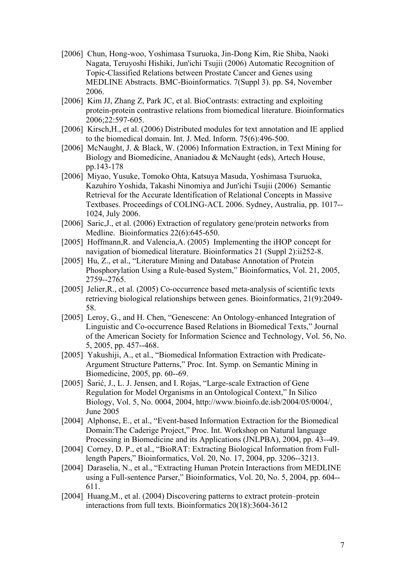- [2006] Chun, Hong-woo, Yoshimasa Tsuruoka, Jin-Dong Kim, Rie Shiba, Naoki Nagata, Teruyoshi Hishiki, Jun'ichi Tsujii (2006) Automatic Recognition of Topic-Classified Relations between Prostate Cancer and Genes using MEDLINE Abstracts. BMC-Bioinformatics. 7(Suppl 3). pp. S4, November 2006.
- [2006] Kim JJ, Zhang Z, Park JC, et al. BioContrasts: extracting and exploiting protein-protein contrastive relations from biomedical literature. Bioinformatics 2006;22:597-605.
- [2006] Kirsch, H., et al. (2006) Distributed modules for text annotation and IE applied to the biomedical domain. Int. J. Med. Inform. 75(6):496-500.
- [2006] McNaught, J. & Black, W. (2006) Information Extraction, in Text Mining for Biology and Biomedicine, Ananiadou & McNaught (eds), Artech House, pp.143-178
- [2006] Miyao, Yusuke, Tomoko Ohta, Katsuya Masuda, Yoshimasa Tsuruoka, Kazuhiro Yoshida, Takashi Ninomiya and Jun'ichi Tsujii (2006) Semantic Retrieval for the Accurate Identification of Relational Concepts in Massive Textbases. Proceedings of COLING-ACL 2006. Sydney, Australia, pp. 1017-- 1024, July 2006.
- [2006] Saric, J., et al. (2006) Extraction of regulatory gene/protein networks from Medline. Bioinformatics 22(6):645-650.
- [2005] Hoffmann, R. and Valencia, A. (2005) Implementing the iHOP concept for navigation of biomedical literature. Bioinformatics 21 (Suppl 2):ii252-8.
- [2005] Hu, Z., et al., "Literature Mining and Database Annotation of Protein Phosphorylation Using a Rule-based System," Bioinformatics, Vol. 21, 2005, 2759--2765.
- [2005] Jelier, R., et al. (2005) Co-occurrence based meta-analysis of scientific texts retrieving biological relationships between genes. Bioinformatics, 21(9):2049- 58.
- [2005] Leroy, G., and H. Chen, "Genescene: An Ontology-enhanced Integration of Linguistic and Co-occurrence Based Relations in Biomedical Texts," Journal of the American Society for Information Science and Technology, Vol. 56, No. 5, 2005, pp. 457--468.
- [2005] Yakushiji, A., et al., "Biomedical Information Extraction with Predicate-Argument Structure Patterns," Proc. Int. Symp. on Semantic Mining in Biomedicine, 2005, pp. 60--69.
- [2005] Šarić, J., L. J. Jensen, and I. Rojas, "Large-scale Extraction of Gene Regulation for Model Organisms in an Ontological Context," In Silico Biology, Vol. 5, No. 0004, 2004, http://www.bioinfo.de.isb/2004/05/0004/, June 2005
- [2004] Alphonse, E., et al., "Event-based Information Extraction for the Biomedical Domain:The Caderige Project," Proc. Int. Workshop on Natural language Processing in Biomedicine and its Applications (JNLPBA), 2004, pp. 43--49.
- [2004] Corney, D. P., et al., "BioRAT: Extracting Biological Information from Fulllength Papers," Bioinformatics, Vol. 20, No. 17, 2004, pp. 3206--3213.
- [2004] Daraselia, N., et al., "Extracting Human Protein Interactions from MEDLINE using a Full-sentence Parser," Bioinformatics, Vol. 20, No. 5, 2004, pp. 604-- 611.
- [2004] Huang, M., et al. (2004) Discovering patterns to extract protein–protein interactions from full texts. Bioinformatics 20(18):3604-3612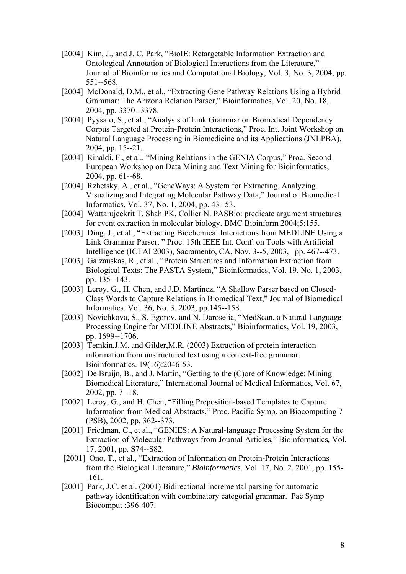- [2004] Kim, J., and J. C. Park, "BioIE: Retargetable Information Extraction and Ontological Annotation of Biological Interactions from the Literature," Journal of Bioinformatics and Computational Biology, Vol. 3, No. 3, 2004, pp. 551--568.
- [2004] McDonald, D.M., et al., "Extracting Gene Pathway Relations Using a Hybrid Grammar: The Arizona Relation Parser," Bioinformatics, Vol. 20, No. 18, 2004, pp. 3370--3378.
- [2004] Pyysalo, S., et al., "Analysis of Link Grammar on Biomedical Dependency Corpus Targeted at Protein-Protein Interactions," Proc. Int. Joint Workshop on Natural Language Processing in Biomedicine and its Applications (JNLPBA), 2004, pp. 15--21.
- [2004] Rinaldi, F., et al., "Mining Relations in the GENIA Corpus," Proc. Second European Workshop on Data Mining and Text Mining for Bioinformatics, 2004, pp. 61--68.
- [2004] Rzhetsky, A., et al., "GeneWays: A System for Extracting, Analyzing, Visualizing and Integrating Molecular Pathway Data," Journal of Biomedical Informatics, Vol. 37, No. 1, 2004, pp. 43--53.
- [2004] Wattarujeekrit T, Shah PK, Collier N. PASBio: predicate argument structures for event extraction in molecular biology. BMC Bioinform 2004;5:155.
- [2003] Ding, J., et al., "Extracting Biochemical Interactions from MEDLINE Using a Link Grammar Parser, " Proc. 15th IEEE Int. Conf. on Tools with Artificial Intelligence (ICTAI 2003), Sacramento, CA, Nov. 3--5, 2003, pp. 467--473.
- [2003] Gaizauskas, R., et al., "Protein Structures and Information Extraction from Biological Texts: The PASTA System," Bioinformatics, Vol. 19, No. 1, 2003, pp. 135--143.
- [2003] Leroy, G., H. Chen, and J.D. Martinez, "A Shallow Parser based on Closed-Class Words to Capture Relations in Biomedical Text," Journal of Biomedical Informatics, Vol. 36, No. 3, 2003, pp.145--158.
- [2003] Novichkova, S., S. Egorov, and N. Daroselia, "MedScan, a Natural Language Processing Engine for MEDLINE Abstracts," Bioinformatics, Vol. 19, 2003, pp. 1699--1706.
- [2003] Temkin, J.M. and Gilder, M.R. (2003) Extraction of protein interaction information from unstructured text using a context-free grammar. Bioinformatics. 19(16):2046-53.
- [2002] De Bruijn, B., and J. Martin, "Getting to the (C) ore of Knowledge: Mining Biomedical Literature," International Journal of Medical Informatics, Vol. 67, 2002, pp. 7--18.
- [2002] Leroy, G., and H. Chen, "Filling Preposition-based Templates to Capture Information from Medical Abstracts," Proc. Pacific Symp. on Biocomputing 7 (PSB), 2002, pp. 362--373.
- [2001] Friedman, C., et al., "GENIES: A Natural-language Processing System for the Extraction of Molecular Pathways from Journal Articles," Bioinformatics**,** Vol. 17, 2001, pp. S74--S82.
- [2001] Ono, T., et al., "Extraction of Information on Protein-Protein Interactions from the Biological Literature," *Bioinformatics*, Vol. 17, No. 2, 2001, pp. 155- -161.
- [2001] Park, J.C. et al. (2001) Bidirectional incremental parsing for automatic pathway identification with combinatory categorial grammar. Pac Symp Biocomput :396-407.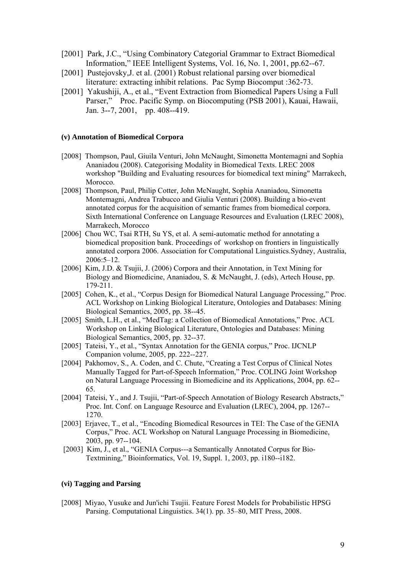- [2001] Park, J.C., "Using Combinatory Categorial Grammar to Extract Biomedical Information," IEEE Intelligent Systems, Vol. 16, No. 1, 2001, pp.62--67.
- [2001] Pustejovsky, J. et al. (2001) Robust relational parsing over biomedical literature: extracting inhibit relations. Pac Symp Biocomput :362-73.
- [2001] Yakushiji, A., et al., "Event Extraction from Biomedical Papers Using a Full Parser," Proc. Pacific Symp. on Biocomputing (PSB 2001), Kauai, Hawaii, Jan. 3--7, 2001, pp. 408--419.

## **(v) Annotation of Biomedical Corpora**

- [2008] Thompson, Paul, Giuila Venturi, John McNaught, Simonetta Montemagni and Sophia Ananiadou (2008). Categorising Modality in Biomedical Texts. LREC 2008 workshop "Building and Evaluating resources for biomedical text mining" Marrakech, Morocco.
- [2008] Thompson, Paul, Philip Cotter, John McNaught, Sophia Ananiadou, Simonetta Montemagni, Andrea Trabucco and Giulia Venturi (2008). Building a bio-event annotated corpus for the acquisition of semantic frames from biomedical corpora. Sixth International Conference on Language Resources and Evaluation (LREC 2008), Marrakech, Morocco
- [2006] Chou WC, Tsai RTH, Su YS, et al. A semi-automatic method for annotating a biomedical proposition bank. Proceedings of workshop on frontiers in linguistically annotated corpora 2006. Association for Computational Linguistics.Sydney, Australia, 2006:5–12.
- [2006] Kim, J.D. & Tsujii, J. (2006) Corpora and their Annotation, in Text Mining for Biology and Biomedicine, Ananiadou, S. & McNaught, J. (eds), Artech House, pp. 179-211.
- [2005] Cohen, K., et al., "Corpus Design for Biomedical Natural Language Processing," Proc. ACL Workshop on Linking Biological Literature, Ontologies and Databases: Mining Biological Semantics, 2005, pp. 38--45.
- [2005] Smith, L.H., et al., "MedTag: a Collection of Biomedical Annotations," Proc. ACL Workshop on Linking Biological Literature, Ontologies and Databases: Mining Biological Semantics, 2005, pp. 32--37.
- [2005] Tateisi, Y., et al., "Syntax Annotation for the GENIA corpus," Proc. IJCNLP Companion volume, 2005, pp. 222--227.
- [2004] Pakhomov, S., A. Coden, and C. Chute, "Creating a Test Corpus of Clinical Notes Manually Tagged for Part-of-Speech Information," Proc. COLING Joint Workshop on Natural Language Processing in Biomedicine and its Applications, 2004, pp. 62-- 65.
- [2004] Tateisi, Y., and J. Tsujii, "Part-of-Speech Annotation of Biology Research Abstracts," Proc. Int. Conf. on Language Resource and Evaluation (LREC), 2004, pp. 1267-- 1270.
- [2003] Erjavec, T., et al., "Encoding Biomedical Resources in TEI: The Case of the GENIA Corpus," Proc. ACL Workshop on Natural Language Processing in Biomedicine, 2003, pp. 97--104.
- [2003] Kim, J., et al., "GENIA Corpus---a Semantically Annotated Corpus for Bio-Textmining," Bioinformatics, Vol. 19, Suppl. 1, 2003, pp. i180--i182.

# **(vi) Tagging and Parsing**

[2008] Miyao, Yusuke and Jun'ichi Tsujii. Feature Forest Models for Probabilistic HPSG Parsing. Computational Linguistics. 34(1). pp. 35–80, MIT Press, 2008.